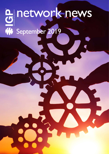# network news September 2019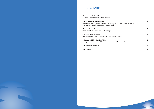### In this issue...

**Guaranteed Global Advance** IGP Introduces an Innovative New Product

**IGP Partnership with Further** Health insurance that allows employees to access the from leading hospitals and clinics around the world

**Country News: Poland** Unum Introduces Oncological S.O.S. Package

**Country News: Canada** Manulife Transforms the Group Benefits Experience in

**Schedule of IGP Subsidiary Visits** An opportunity to have an IGP representative meet with

**IGP Network Partners** 

**IGP Contacts** 

|                             | ┱  |
|-----------------------------|----|
| very best medical treatment | 6  |
|                             | 8  |
| Canada                      | 0  |
| ith your local subsidiary   | 12 |
|                             | 4  |
|                             | 16 |
|                             |    |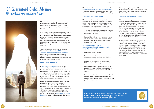

### IGP Guaranteed Global Advance IGP Introduces New Innovative Product



IGP offers a broad range of products and services that are designed to meet the specific needs of multinational corporations, including achieving maximum savings on the cost of their employee benefits.

Over the past decade, we have seen a change in what multinationals are looking for, from the level of risk they want to take (either through implementing stop loss or via a captive arrangement), to the amount of data/information they wish to receive. We have also seen a growing interest in exploring up-front cost-savings rather than waiting for an International Dividend after a given experience period has been completed.

To address the latter demand, IGP is proud to introduce the IGP Guaranteed Global Advance – a unique and innovative concept in the market: multinational corporations will be eligible for a guaranteed up-front reduction in cost, with a potential additional International Dividend at the end of the guarantee period of 2 years.

### **How Does It Work?**

A Guaranteed Global Advance is paid to the multinational corporation (or its subsidiaries) at the start of the International Experience Year. The Global Advance is calculated as the total amount of the surplus expected to be generated on each type of benefit coverage in each country. The calculation is based on current premium, estimated claims and takes into consideration medical inflation.

During the guarantee period, any margins generated, for example due to better than anticipated experience, will be held in a Claims Stabilization Reserve (CSR). At the end of the guarantee period, surplus amounts in excess of a pre-defined maximum CSR level will be released to the multinational corporation (or to its subsidiaries, at the Parent company's discretion) as an additional International Dividend on top of the Guaranteed Global Advance.

The multinational corporation continues to receive a detailed annual IGP International Experience Report, with a clear indication of the amount of Guaranteed Global Advance paid and accrued CSR amount, if any.

### **Eligibility Requirements**

The volume and composition of a portfolio of coverages will be important in determining whether or not a multinational's IGP International Account is eligible for the IGP Guaranteed Global Advance. The following minimum requirements will also apply:

- The global portfolio under consideration must be at least USD 5 million in risk premium pooled in a minimum of 5 countries.
- Required data includes 3 to 5 years' experience on insured lives, volume, rates, premium, claims, reserves and local profit-sharing arrangements that may be in place.

### **Unique Differentiators: Sustainable, Easy Implementation, Easy Administration**

- Guaranteed up-front discount
- Payable to the multinational corporation, or to the subsidiaries, at the parent company's discretion.
- Potential for an additional IGP International Dividend at the end of the guarantee period.
- Easy implementation and administration for all parties, including the multinational corporation, local subsidiaries, global consultant and local advisor.
- Local terms and conditions continue to apply and continue to be underwritten according to local laws and regulations – no impact to locally charged premium rates and commissions.

• Full transparency through the IGP International Experience Report, with a clear indication of the dollar values of the Global Advance and Claims Stabilization Reserve.

### *Peter de Vries, Vice-President IGP, comments:*

*"Over the past several years, we have experienced a growing demand from multinational corporations (generally the larger ones) looking for cost savings on their Group Benefit business based on their global size. These multinationals have typically operated a standard pooling arrangement with a potential International Dividend after the end of the International Experience Year – they are now looking to shift the back-end dividend to an up-front reduction in cost via global deals where all business is placed with one network.*

*To address this demand, we have a developed a new and innovative product: the IGP Guaranteed Global Advance, that can either be paid to the parent company or its subsidiaries, with a potential additional IGP International Dividend at the end of the guarantee period in the event of very good experience. The IGP Guaranteed Global Advance is sustainable, easy to implement and easy to administer for all parties and will be a differentiator in the market."* 



If you would like more information about this product or any of IGP's other products and services, please contact your IGP Account Manager or visit: www.igpinfo.com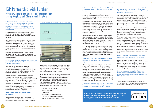



### IGP Partnership with Further Providing Access to the Best Medical Treatment from Leading Hospitals and Clinics Around the World

If you would like additional information, have any follow-up questions, or would like to set up an exploratory call with Further, please contact your IGP Account Manager.

IGP has entered into a partnership with Further, a leading provider of international health insurance solutions. The products offered by Further have become increasingly attractive for multinationals looking for innovative employee benefits with high perceived value.

For clients that might not be familiar with Further, can you briefly describe what it is that Further does and why the company exists?

Further believes that anyone with a serious illness should have access to the very best medical treatment from leading hospitals and clinics around the world.

Their product is affordable, simple and ready to go, and they are excited to offer this to IGP clients via various IGP Network Partners. It can be offered as a standalone policy or as a rider to general life or critical illness cover. It gives your employees the chance to access the very best medical treatment in the world.

IGP spoke to Frank Ahedo, CEO and founder of Further, to get more insight into the company, a rapidly growing organization that is now present in 34 countries globally.

We are an organization specializing in the development of affordable healthcare insurance solutions with a particular focus on providing access to leading international medical expertise for the treatment of serious medical conditions.

### Is there demand for this type of product? Why would someone elect to go for treatment outside of their home country?

At Further, we give people the chance to access treatment from the very best medical specialists across the world by removing the barriers they would otherwise face. We do this by providing employers with an international treatment product that has a very high perceived value. Our core product, Critical Advantage, is viewed as an innovative employee benefit and those employers that include Critical Advantage in their benefits package are among the world's most recognizable companies.

### **What are the main features of Critical Advantage?**

The product concept is simple. If an insured member has a covered condition or requires one of the covered treatments, they can elect to access treatment in leading hospitals outside of their home country. Treatment, travel and accommodations are all covered with annual limits up to  $\epsilon$ 1,000,000, and all arrangements are taken care of by Further. There are no deductibles or upfront payments.

From start to finish, Further will manage the whole patient journey to ensure a seamless experience, allowing patients to concentrate on their health and recovery. Essentially, the product removes the geographic and financial barriers associated with international medical treatment by allowing employees to travel to the best international medical centers, outside their country, for treatment.

We pride ourselves on our ability to deliver a turnkey solution through some of the world's leading insurers. We have a tried and trusted approach to implementation which ensures that employers can deliver a consistent solution to employees whether that employee is based in the U.K. or Singapore, Poland or Portugal.

The product typically covers:

- Cancer Treatment
- **Neurosurgery**
- Coronary Artery By-pass Surgery
- Heart Valve Replacement and Repair
- Live Organ Donor and Tissue Transplant

### If an IGP corporate client wanted to learn more about this product, how should they proceed?

Across most facets of our lives, we are no longer limited by boundaries, or geographical borders – information flows, people flow and as a consequence, barriers have diminished.

However, the same is not true of healthcare where more barriers are appearing for people, as treatment costs increase and national healthcare budgets come under additional pressure. Medicine is developing at an enormous speed with medical data expected to double every 73 days by 2020\*, and we are likely to see more advances in the next 10 years than we have in the last 100 years\*\*.

These advances present options that never existed before, and people recognize that they do not have the keys to unlock them. This realization is reflected by the rapid growth of our organization – Further is now present in 34 countries offering our solutions through more than 70 insurers.

For individual business, we have seen success across a range of distribution channels including direct sales, telesales and bancassurance. With employee benefits business however, interest has been particularly strong and is accelerating as employers recognize the value our proposition could bring to their benefits packages.

### What is the typical profile of a corporate client that purchases the Critical Advantage cover for their employees?

The vast majority of our employee benefits business comes from multinational corporations spanning a variety of sectors: pharmaceuticals, finance, IT, designer fashion, automotive and energy. Our clients share the common desire to provide attractive benefit packages with products and services that employees will truly value. While many of these organizations start out in one single market, often the success of the first scheme leads to requests for the product across multiple territories. Further is ideally positioned to meet these multi-market requests.

You mention multi-territorial launches for employers. We know that one of the big challenges for employers can be the identification of a uniform

solution spanning numerous markets, especially given the diverse cultural and regulatory environments in which each local entity operates. How is Further able to address these challenges?

A good example of such a rollout took place with a large European financial institution that wanted to provide uniform overage for the treatment of serious illness to all employees across a diverse range of markets throughout Europe and in Africa.

The requirement was to provide this benefit on a single go-live date across 11 countries, covering 21,000 employees and subsequently rolling out a voluntary scheme for family members in specified markets. Further engaged its local insurance partners to rollout this benefit with considerable success. From the provision of multilingual websites to the setup of an international contact center, Further ensured that employees had all the resources needed to understand the product and to open a claim with ease.

Further would be pleased to provide more information and address any queries an employer may have. For those who are interested, Further could provide single market or multi-market quotations on different variations of our product, taking into account budgetary considerations.

*If you are interested in learning how this insurance solution may fit within your benefits package, please contact your IGP Account Manager who can facilitate a follow-up conversation.*

References:

\* https://www.ibm.com/industries/healthcare/datadilemma

\*\* https://singularityhub.com/2016/10/26/medicine-will-advancemore-in-the-next-10-years-than-it-did-in-the-last-100/

Because life matters most.

further

*Click on the link to view a short video of how the product works:*



*Click on the link to view a patient testimonial:*

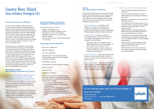© International Group Program - www.igpinfo.com

© International Group Program - www.igpinfo.com

For more information, please contact your IGP Account Manager or... **Unum Życie TUiR S.A.** 

*Ms. Joanna Grudnik +48 (22) 329 31 21 | joanna.grudnik@unum.pl www.unum.pl*

### **Cancer Treatments in Poland\***

A study that was published in 2018 (*"How Long Are Cancer Patients Waiting for Oncological Therapy in Poland?", Karolina Osowiecka, Monika Rucinska, Jacek J. Nowakowski and Sergiusz Nawrocki, International Journal of Environmental Research and Public Health, published March 23, 2018*), indicated that the waiting time for the treatment of cancer patients in Poland exceeds nine weeks in 60% of the cases. During the study period, a quarter of the patients used private medical services during the diagnostic process in order to reduce the diagnosis time.

In Poland, cancer is currently the second leading cause of death (after circulatory system diseases) and is likely to become the leading cause of death within10 years. Today, cancer is the dominant cause of premature deaths among Polish women between the ages of 30 to 69 years. According to the most accurate EUROCARE 5 analysis, the five-year relative survival rate in Poland is approximately10% lower when compared with the average for Europe (42.7% vs. 54.6%, respectively). One factor that may contribute to the inferior treatment results in Poland could be the long time between the suspicion of cancer and the beginning of treatment.

- Help center available 24/7
- Medical consultations
- Laboratory diagnostics
- Specialist tests, such as biopsy, radiography, ultrasonography, magnetic resonance imaging, computed tomography
- Psychological counseling
- Transportation for tests and planned surgeries
- Home nursing care
- **Sanatorium Stay**

### **Oncological S.O.S. New Product Introduced by Unum**

- Adjustment of residence
- Second medical opinion in foreign institutions, providing consultation of the diagnosis together with confirmation or proposal for an alternative treatment plan including:
	- Providing the necessary medical documentation required for the second medical opinion
	- Translation of the submitted documentation
- Transmission of documentation and
- organization of a second medical opinion Translation of the second medical opinion into
- Polish

Unum can now offer additional specialist medical care through the "Oncological S.O.S." package, which has been introduced as a new rider to their group life offer. The Oncological S.O.S. rider can be pooled in IGP and will be offered to all Unum clients at the next renewals. The package is prepared in cooperation with business partner AWP P&C SA (Mondial Assistance).

With Oncological S.O.S., employees receive financial support during cancer treatment and convalescence in case of diagnosis of malignant tumor or borderline malignancy tumor, hospitalization or specialist treatment (e.g., chemotherapy, radiation therapy).

### **Financial Support in Case of Diagnosis and Hospitalization**

- The benefit is paid out in case of:
- Diagnosis of malignant tumor
- Diagnosis of borderline malignancy tumor
- Hospitalization due to cancer disease
- Specialized treatment (e.g. , chemotherapy, radiation therapy)
- The insured amounts are determined individually for each group.

### **Oncological S.O.S. Benefits**

- Clear and understandable general insurance conditions
- One of the shortest directories of insurer liability limitations and exemptions offered on the market
- High and very competitive sums insured for an affordable premium
- No waiting period (coverage is effective as of enrollment date) on the basic contract (Death of the Person Insured), Death of a Child, Orphaned Child
- Extensive directory of Dread Diseases (45 different diseases; and 24 different diseases in respect of Dread Disease of a Child)
- Coverage for sport-related events (including extreme sports) in applicable contracts such as, for example, Detriment to Health, Disability, Hospitalization
- A broad range of health benefits; e.g., in the event of Hospitalization, the benefit can be payable even for a short stay
- Extensive directory of surgical operations -461 medical procedures covered (including one-day procedures)



### Country News: Poland Unum Introduces Oncological S.O.S.

### **Unum: Your Best Choice in Poland**

Unum Życie TUiR SA is part of the Unum Group and has been operating in Poland for over 20 years (until 2018 under the name Pramerica Życie TUiR SA). Unum offers an extensive portfolio of life and health insurance plans that can be tailored to the needs of individuals and group clients:

- Nation-Wide Network Head office and 4 agencies in the capital city of Warsaw, with 11 agencies located in the main Polish cities: Katowice, Kraków, Poznań, Wrocław, Łódź, Gdańsk, Olsztyn, Bydgoszcz, Rzeszów, Lublin and Szczecin.
- Excellent Service Customer-focused and providing the highest standard of services, both at the stage of the program design as well as throughout contract lifetime.
	- Each policy holder has a dedicated Group Policy Administrator who is responsible for all issues related to the insurance contract.
	- Rapid claims payment within a maximum of 3 business days from the time of receipt of a complete set of documents
- Customer Protection 'Tailor-made' products (life insurance as well as accident, health and family riders) to suit the needs and expectations of each and every client.
- Strong Code of Ethics Open and sincere client relations, based on integrity, commitment and accountability. Unum's code of ethics sets the highest standards not only for client relations, but also for employee conduct in general.

### • Unique insurance solutions at competitive prices

*\* "How Long Are Cancer Patients Waiting for Oncological Therapy in Poland?", Karolina Osowiecka, Monika Rucinska, Jacek J. Nowakowski and Sergiusz Nawrocki, International Journal of Environmental Research and Public Health, published March 23, 2018*)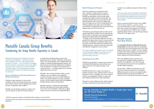### For more information on Employee Benefits in Canada, please contact your IGP Account Manager or...

**Manulife Financial Corporation**  *Mr. Kajan Ramanathan kajan\_ramanathan@manulife.com | T +(1) (416) 687 34 32 | www.manulife.com* 





### Manulife Canada Group Benefits Transforming the Group Benefits Experience in Canada

Finding the right medication to treat certain conditions can be a frustrating trial-and-error process and as many as 50 per cent of medications go unused because of unpleasant adverse effects.<sup>1</sup>

Employee benefits plans have changed very little in recent years and Manulife — which serves one in three Canadians and is one of the largest benefits providers in Canada — is at the forefront of changing that for the better. Committed to be the most digital, customer-centric company in its industry, Manulife is bringing together new technology and innovative thinking to truly transform the benefits experience for Canadians.

### **Future of Medicine and On-demand Access to Medical Consultants**

Manulife recently piloted a program to explore how a person's genes can affect their body's response

to medications, specifically those used to treat depression, pain, or anxiety. Preliminary results show 44 per cent of prescriptions were changed (either the dosage or medication), following genetic testing. The pilot continues and will help determine if considering a person's genetics can support the treatment and recovery process — and help people return to health, regular life, and work sooner.

Manulife is also working with Akira Health to make healthcare more accessible to Group Benefits customers through a new service called Healthcare Online. This allows Manulife to increase Canadians' access to virtual medical consults with knowledgeable, friendly clinicians, anytime and anywhere.

Manulife continues to develop new technologies like smart pill bottles and virtual health solutions. Learn more on how Manulife is delivering on digital, customer-centric innovations by visiting Manulife.ca. In the last couple of years, Manulife Group Benefits has introduced several improvements to the secure site and mobile app, making it easier than ever for plan members to submit and receive payment for claims digitally.

### **Opioid Management Program**

There's an opioid crisis in Canada and every day, 11 people in Canada die from an opioid overdose.2 Personalized solutions matter, and Manulife has developed a new, two-step opioid management program focused on prevention and early intervention. Step one ensures patients start opioid treatment with a short-term supply; step two encourages the use of short-acting opioids first. Working together, these steps ensure side effects, risk tolerance, and dependence get monitored earlier, helping reduce the risk of chronic use.

"We believe in promoting the safe and smart use of opioids, especially for people who are using them for the first time, or who haven't used opioids regularly," said Donna Carbell, Head of Group Benefits. "Through a much more holistic approach, we hope people will be better able to recover sooner, and with less chance of addiction or additional health issues caused by overuse. When fewer plan members need ongoing, long-term treatment, their plan's drug costs and addiction management costs are lower."

The opioid management program is just one example of ways Manulife is engaged in providing customer experiences that focus first and foremost on improved health outcomes.

### **Going Paperless by 2020**

Manulife Group Benefits is making a big commitment to Manulife's Bold Ambition to become the most digital, customer-centric global company in the industry!

By 2020, Manulife will no longer mail cheques or benefits statements when settling all claims. To get to paperless, it will run campaigns over the next several months, encouraging plan members to sign up for direct deposit and electronic claims statements.

The goal is to stop mailing over four million cheques and claims statements per year, while also driving

members to its website and app for all their claims needs.

And, its transactional Net Promoter Score (tNPS), which measures whether a customer would recommend Manulife to friends or family based on their recent online claims experience, is showing it's on the right path, with tNPS for plan members submitting claims online or through the app sitting at +49 versus -3 for paper claims.

### **Manulife Canada: Your Best Choice**

The **Canadian Division of Manulife Financial Corporation** provides life, health and savings plans to more than one in five Canadians and is one of the largest group insurers in Canada. It is also a leading provider of life, health, disability, and travel insurance to professional, alumni, and retiree associations as well as retailers and financial institutions.

More than 30,000 Canadian businesses have entrusted their employee benefits programs to Manulife Group Benefits. It provides coverage for businesses of all sizes, from two employees to Canada's largest employers.

Incorporated in 1887 as The Manufacturers Life Insurance Company, Manulife and its worldwide affiliates have grown to become a leading Canadianbased financial services group with millions of customers in 22 countries and territories worldwide.

**III** Manulife



#### 1 Will Pharmacogenetics Help Your Health? By Pat Allen, USNews.com, Oct. 23, 2015.

2 Canada's opioid crisis (https://www.canada.ca/en/services/health/campaigns/drug-prevention.html). Government of Canada. 2019-04-17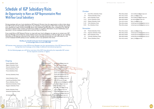**12**

| More info, contact: | wim.moldenaers@igpeurope.com         |
|---------------------|--------------------------------------|
| More info, contact: | loyce Low@igp.com.sg                 |
| More info, contact: | wim.moldenaers@igpeurope.com         |
| More info, contact: | jan.maerien@igpeurope.com            |
| More info, contact: | Joyce_Low@igp.com.sg                 |
| More info, contact: | michael.spincemaille@igplatam.com.co |
| More info, contact: | michael.spincemaille@igplatam.com.co |
|                     |                                      |



Denmark (Subsidiary Visits) More info, contact: charles.albers@igpeurope.com Finland (Subsidiary Visits) More info, contact: oxana.ivas@igpeurope.com France (Subsidiary Visits) Trance (Subsidiary Visits) More info, contact: bartosz.racino@igpeurope.com juliette.roque@igpeurope.com Germany (Subsidiary Visits) More info, contact: charles.albers@igpeurope.com philipp.linden@igpeurope.com Ireland (Subsidiary Visits) More info, contact: bartosz.racino@igpeurope.com Luxembourg (Subsidiary Visits) More info, contact: Your IGP Account Manager Mexico (Subsidiary Visits) More info, contact: michael.spincemaille@igplatam.com.com/ Netherlands (Subsidiary Visits) More info, contact: arvid.kleber@igpeurope.com Eric\_WK\_Chew@igp.com.sg Sweden (Subsidiary Visits) More info, contact: oxana.ivas@igpeurope.com in the state oxana.ivas oxana.ivas @igpeurope.com Switzerland (Subsidiary Visits) More info, contact: charles.albers@igpeurope.com bartosz.racino@igpeurope.com

Group Program - www.igpinfo.com

If you would like an IGP Network Partner to meet with your local colleagues, we urge you to contact your IGP Account Manager and provide the contact details of your local representative so that we might set up a meeting. Naturally, we will keep you informed of the results of each meeting and provide you with information on the current employee benefits plan(s) of your subsidiary and on any quotations that ensue.

### Schedule of IGP Subsidiary Visits An Opportunity to Have an IGP Representative Meet With Your Local Subsidiary

During meetings with your local subsidiaries, IGP Network Partners have the opportunity to inform them about how IGP works and the possible advantages to the subsidiary of participating in IGP. These meetings also enable your subsidiaries to gain market knowledge about what employee benefits plans their competitors are offering and what is typical in their market. It furthermore enables us to gather information on your behalf about your operations' current employee benefits plans and how they are financed.

13-15 Argentina (Subsidiary Visits) More info, contact: michael.spincemaille@igplatam.com.com/ 18-21 Brazil (Subsidiary Visits) More info, contact: michael.spincemaille@igplatam.com.co 22 Colombia (Subsidiary Visits) More info, contact: michael.spincemaille@igplatam.com.co

#### **Ideally, you should send your local management an e-mail to encourage them to meet with IGP.**

IGP devotes many resources to have IGP Account Managers join the representatives of the IGP Network Partners during these local meetings, as this brings an additional international perspective.

On the following pages, you will find an overview of the 2019 trips planned by the responsible IGP contact for the respective countries or regions.

### **October**

- 1-7 South Africa (Subsidiary Visits)
- 2-4 Thailand (Subsidiary Visits)
- 8-11 Kenya (Subsidiary Visits)
- 13-16 Greece (Subsidiary Visits)
- 16-18 Malaysia (Subsidiary Visits)
- 21-22 Chile (Subsidiary Visits)
- 23-25 Peru (Subsidiary Visits)

### November

- 6-8 Thailand (Subsidiary Visits) More info, contact: Joyce Low@igp.com.sg
- 
- 
- 
- 27-29 Taiwan (Subsidiary Visits) More info, contact: Joyce Low@igp.com.sg

### **Ongoing**

Austria (Subsidiary Visits) and More info, contact: philipp.linden@igpeurope.com

Singapore (Subsidiary Visits) More info, contact: Joyce Low@igp.com.sg

Belgium (Subsidiary Visits) More info, contact: Mour IGP Account Manager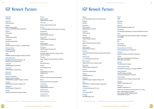IGP Network Partners

*\* Correspondent Network Partner / \*\* Malakoff Médéric Humanis can quote provided plans also underwritten on the mainland.*

**Macau** AXA China Region Insurance Company Limited\*

**Malaysia** AIA Bhd.

**Martinique** AXA France Vie Malakoff Médéric Humanis\*\*

**Mauritius** SWAN Life Ltd.

**Mayotte** AXA France Vie Malakoff Médéric Humanis\*\*

**Mexico** Seguros Monterrey New York Life, S.A.

**Monaco** AXA France Vie Malakoff Médéric Humanis

**Namibia** Via The Old Mutual Life Assurance Company (South Africa) Limited

**Netherlands** a.s.r. | De Amersfoortse Insurance

**New Zealand** Fidelity Life Assurance Company Limited

**Nicaragua**  MAPFRE Seguros Nicaragua, S.A.

**Norway** Storebrand Livsforsikring AS

**Panama** MAPFRE Panama, S.A.

**Paraguay** MAPFRE Paraguay Compañía de Seguros S.A. AXA PPP healthcare (Health) Canada Life Limited (Life and Pensions)

**Peru** MAPFRE Perú Compañía de Seguros y Reaseguros

**Philippines** The Insular Life Assurance Co., Ltd.

**Poland** Unum Życie TUiR SA

**Portugal** VICTORIA Seguros, S.A.

#### **Russia**

**Welbi** 

### **Singapore**

Aviva Ltd.

#### **Slovenia**

ERGO Življenjska zavarovalnica d.d.\*

### **South Africa**

The Old Mutual Life Assurance Company (South Africa) Limited

### **Spain**

Caja de Seguros Reunidos, Compañía de Seguros y Reaseguros, S.A. (CASER)

### **Sweden**

SPP

### **Switzerland**

AXA Switzerland

### **Taiwan (Republic of China)**

Shin Kong Life Insurance Company, Ltd.

### **Thailand**

Muang Thai Life Assurance Public Company, Ltd.

### **Turkey**

Allianz Yaşam ve Emeklilik (Life and Pensions) Allianz Sigorta A.Ş. (Health)

### **Ukraine**

TAS Life Insurance Company

### **United Arab Emirates**

Abu Dhabi National Insurance Company (ADNIC)

### **United Kingdom**

### **United States** Prudential Insurance Company of America (Life)

**Uruguay** MAPFRE Uruguay Seguros S.A.

### **Venezuela** MAPFRE La Seguridad, C.A.\*

**Third-Country National and Expatriate Coverage**

### AXA - Global Healthcare (medical) AXA Luxembourg (life, disability, pensions) Global Benefits Group, Inc.



### IGP Network Partners

*\* Correspondent Network Partner / \*\* Malakoff Médéric Humanis can quote provided plans also underwritten on the mainland.*

**Argentina** SMG LIFE

**Australia**

AMP Life Limited

**Austria** ERGO Versicherung AG (in assoc. with BONUS Pensionskassen AG)

**Belgium** AG Insurance

**Brazil** MAPFRE Seguros Brazil

**Cambodia** Manulife (Cambodia) Plc.\*

**Canada** Manulife Financial Corporation – Canadian Division

**Channel Islands** AXA PPP healthcare Canada Life Limited

**Chile** MAPFRE Compañía de Seguros de Vida de Chile S.A.

**China (Mainland)** Manulife-Sinochem Life Insurance Co. Ltd. Taiping Pension Company, Limited

**Colombia** MAPFRE Seguros de Colombia

**Costa Rica** MAPFRE Seguros Costa Rica, S.A.

**Denmark** PFA Pension

**Dominican Republic** ARS Palic Salud, S.A. (Health) MAPFRE BHD Compañía de Seguros, S.A. (Life)

**Ecuador** MAPFRE Atlas Compañia de Seguros S.A.\*

**El Salvador** MAPFRE Seguros El Salvador S.A.

**Finland** Mandatum Life Insurance Company Limited

#### **France**

AXA France Vie Malakoff Médéric Humanis

**Germany** Gothaer Lebensversicherung AG

**Greece** The ETHNIKI Hellenic General Insurance Company

**Guadeloupe** AXA France Vie Malakoff Médéric Humanis\*\*

**Guatemala** MAPFRE Seguros Guatemala, S.A.

**Guiana**  AXA France Vie Malakoff Médéric Humanis\*\*

**Honduras** MAPFRE Seguros Honduras, S.A.

**Hong Kong** AXA China Region Insurance Company Limited Manulife Hong Kong

**Hungary** Aegon Hungary Composite Insurance Company

**India** Max Life Insurance\*

**Ireland** Irish Life Assurance plc

**Italy** UnipolSai Assicurazioni S.p.A. UniSalute S.p.A.

**Japan** The Dai-ichi Life Insurance Company, Limited

**Korea** Samsung Life Insurance Company, Ltd.

**La Réunion** AXA France Vie Malakoff Médéric Humanis\*\*

**Liechtenstein** AXA Liechtenstein

**Luxembourg** Cardif Lux Vie S.A.